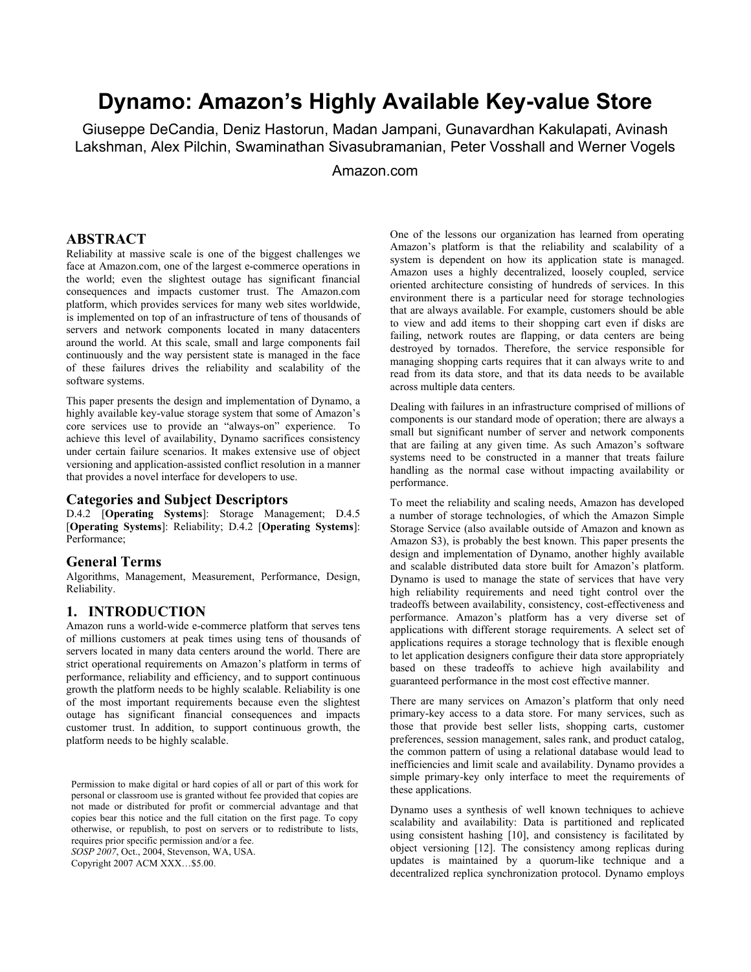# **Dynamo: Amazon's Highly Available Key-value Store**

Giuseppe DeCandia, Deniz Hastorun, Madan Jampani, Gunavardhan Kakulapati, Avinash Lakshman, Alex Pilchin, Swaminathan Sivasubramanian, Peter Vosshall and Werner Vogels

Amazon.com

# **ABSTRACT**

Reliability at massive scale is one of the biggest challenges we face at Amazon.com, one of the largest e-commerce operations in the world; even the slightest outage has significant financial consequences and impacts customer trust. The Amazon.com platform, which provides services for many web sites worldwide, is implemented on top of an infrastructure of tens of thousands of servers and network components located in many datacenters around the world. At this scale, small and large components fail continuously and the way persistent state is managed in the face of these failures drives the reliability and scalability of the software systems.

This paper presents the design and implementation of Dynamo, a highly available key-value storage system that some of Amazon's core services use to provide an "always-on" experience. To achieve this level of availability, Dynamo sacrifices consistency under certain failure scenarios. It makes extensive use of object versioning and application-assisted conflict resolution in a manner that provides a novel interface for developers to use.

# **Categories and Subject Descriptors**

D.4.2 [**Operating Systems**]: Storage Management; D.4.5 [**Operating Systems**]: Reliability; D.4.2 [**Operating Systems**]: Performance;

## **General Terms**

Algorithms, Management, Measurement, Performance, Design, Reliability.

# **1. INTRODUCTION**

Amazon runs a world-wide e-commerce platform that serves tens of millions customers at peak times using tens of thousands of servers located in many data centers around the world. There are strict operational requirements on Amazon's platform in terms of performance, reliability and efficiency, and to support continuous growth the platform needs to be highly scalable. Reliability is one of the most important requirements because even the slightest outage has significant financial consequences and impacts customer trust. In addition, to support continuous growth, the platform needs to be highly scalable.

Permission to make digital or hard copies of all or part of this work for these applications. personal or classroom use is granted without fee provided that copies are not made or distributed for profit or commercial advantage and that copies bear this notice and the full citation on the first page. To copy otherwise, or republish, to post on servers or to redistribute to lists, requires prior specific permission and/or a fee.

*SOSP 2007*, Oct., 2004, Stevenson, WA, USA. Copyright 2007 ACM XXX…\$5.00.

One of the lessons our organization has learned from operating Amazon's platform is that the reliability and scalability of a system is dependent on how its application state is managed. Amazon uses a highly decentralized, loosely coupled, service oriented architecture consisting of hundreds of services. In this environment there is a particular need for storage technologies that are always available. For example, customers should be able to view and add items to their shopping cart even if disks are failing, network routes are flapping, or data centers are being destroyed by tornados. Therefore, the service responsible for managing shopping carts requires that it can always write to and read from its data store, and that its data needs to be available across multiple data centers.

Dealing with failures in an infrastructure comprised of millions of components is our standard mode of operation; there are always a small but significant number of server and network components that are failing at any given time. As such Amazon's software systems need to be constructed in a manner that treats failure handling as the normal case without impacting availability or performance.

To meet the reliability and scaling needs, Amazon has developed a number of storage technologies, of which the Amazon Simple Storage Service (also available outside of Amazon and known as Amazon S3), is probably the best known. This paper presents the design and implementation of Dynamo, another highly available and scalable distributed data store built for Amazon's platform. Dynamo is used to manage the state of services that have very high reliability requirements and need tight control over the tradeoffs between availability, consistency, cost-effectiveness and performance. Amazon's platform has a very diverse set of applications with different storage requirements. A select set of applications requires a storage technology that is flexible enough to let application designers configure their data store appropriately based on these tradeoffs to achieve high availability and guaranteed performance in the most cost effective manner.

There are many services on Amazon's platform that only need primary-key access to a data store. For many services, such as those that provide best seller lists, shopping carts, customer preferences, session management, sales rank, and product catalog, the common pattern of using a relational database would lead to inefficiencies and limit scale and availability. Dynamo provides a simple primary-key only interface to meet the requirements of

Dynamo uses a synthesis of well known techniques to achieve scalability and availability: Data is partitioned and replicated using consistent hashing [10], and consistency is facilitated by object versioning [12]. The consistency among replicas during updates is maintained by a quorum-like technique and a decentralized replica synchronization protocol. Dynamo employs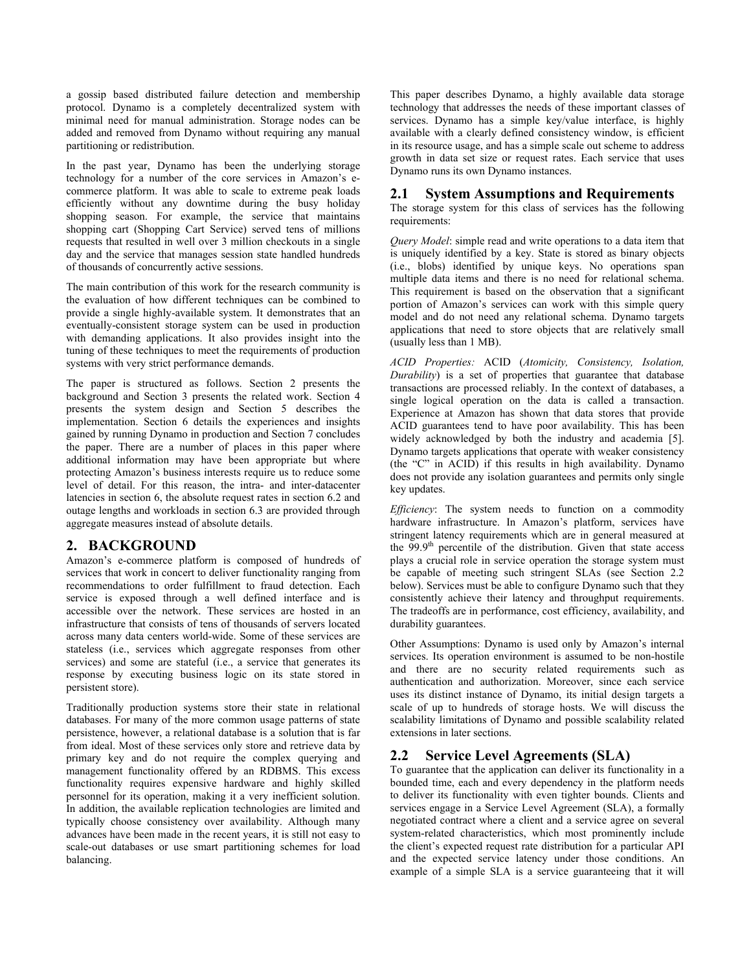a gossip based distributed failure detection and membership protocol. Dynamo is a completely decentralized system with minimal need for manual administration. Storage nodes can be added and removed from Dynamo without requiring any manual partitioning or redistribution.

In the past year, Dynamo has been the underlying storage technology for a number of the core services in Amazon's ecommerce platform. It was able to scale to extreme peak loads efficiently without any downtime during the busy holiday shopping season. For example, the service that maintains shopping cart (Shopping Cart Service) served tens of millions requests that resulted in well over 3 million checkouts in a single day and the service that manages session state handled hundreds of thousands of concurrently active sessions.

The main contribution of this work for the research community is the evaluation of how different techniques can be combined to provide a single highly-available system. It demonstrates that an eventually-consistent storage system can be used in production with demanding applications. It also provides insight into the tuning of these techniques to meet the requirements of production systems with very strict performance demands.

The paper is structured as follows. Section 2 presents the background and Section 3 presents the related work. Section 4 presents the system design and Section 5 describes the implementation. Section 6 details the experiences and insights gained by running Dynamo in production and Section 7 concludes the paper. There are a number of places in this paper where additional information may have been appropriate but where protecting Amazon's business interests require us to reduce some level of detail. For this reason, the intra- and inter-datacenter latencies in section 6, the absolute request rates in section 6.2 and outage lengths and workloads in section 6.3 are provided through aggregate measures instead of absolute details.

# **2. BACKGROUND**

Amazon's e-commerce platform is composed of hundreds of services that work in concert to deliver functionality ranging from recommendations to order fulfillment to fraud detection. Each service is exposed through a well defined interface and is accessible over the network. These services are hosted in an infrastructure that consists of tens of thousands of servers located across many data centers world-wide. Some of these services are stateless (i.e., services which aggregate responses from other services) and some are stateful (i.e., a service that generates its response by executing business logic on its state stored in persistent store).

Traditionally production systems store their state in relational databases. For many of the more common usage patterns of state persistence, however, a relational database is a solution that is far from ideal. Most of these services only store and retrieve data by primary key and do not require the complex querying and management functionality offered by an RDBMS. This excess functionality requires expensive hardware and highly skilled personnel for its operation, making it a very inefficient solution. In addition, the available replication technologies are limited and typically choose consistency over availability. Although many advances have been made in the recent years, it is still not easy to scale-out databases or use smart partitioning schemes for load balancing.

This paper describes Dynamo, a highly available data storage technology that addresses the needs of these important classes of services. Dynamo has a simple key/value interface, is highly available with a clearly defined consistency window, is efficient in its resource usage, and has a simple scale out scheme to address growth in data set size or request rates. Each service that uses Dynamo runs its own Dynamo instances.

# **2.1 System Assumptions and Requirements**

The storage system for this class of services has the following requirements:

*Query Model*: simple read and write operations to a data item that is uniquely identified by a key. State is stored as binary objects (i.e., blobs) identified by unique keys. No operations span multiple data items and there is no need for relational schema. This requirement is based on the observation that a significant portion of Amazon's services can work with this simple query model and do not need any relational schema. Dynamo targets applications that need to store objects that are relatively small (usually less than 1 MB).

*ACID Properties:* ACID (*Atomicity, Consistency, Isolation, Durability*) is a set of properties that guarantee that database transactions are processed reliably. In the context of databases, a single logical operation on the data is called a transaction. Experience at Amazon has shown that data stores that provide ACID guarantees tend to have poor availability. This has been widely acknowledged by both the industry and academia [5]. Dynamo targets applications that operate with weaker consistency (the "C" in ACID) if this results in high availability. Dynamo does not provide any isolation guarantees and permits only single key updates.

*Efficiency*: The system needs to function on a commodity hardware infrastructure. In Amazon's platform, services have stringent latency requirements which are in general measured at the 99.9<sup>th</sup> percentile of the distribution. Given that state access plays a crucial role in service operation the storage system must be capable of meeting such stringent SLAs (see Section 2.2 below). Services must be able to configure Dynamo such that they consistently achieve their latency and throughput requirements. The tradeoffs are in performance, cost efficiency, availability, and durability guarantees.

Other Assumptions: Dynamo is used only by Amazon's internal services. Its operation environment is assumed to be non-hostile and there are no security related requirements such as authentication and authorization. Moreover, since each service uses its distinct instance of Dynamo, its initial design targets a scale of up to hundreds of storage hosts. We will discuss the scalability limitations of Dynamo and possible scalability related extensions in later sections.

# **2.2 Service Level Agreements (SLA)**

To guarantee that the application can deliver its functionality in a bounded time, each and every dependency in the platform needs to deliver its functionality with even tighter bounds. Clients and services engage in a Service Level Agreement (SLA), a formally negotiated contract where a client and a service agree on several system-related characteristics, which most prominently include the client's expected request rate distribution for a particular API and the expected service latency under those conditions. An example of a simple SLA is a service guaranteeing that it will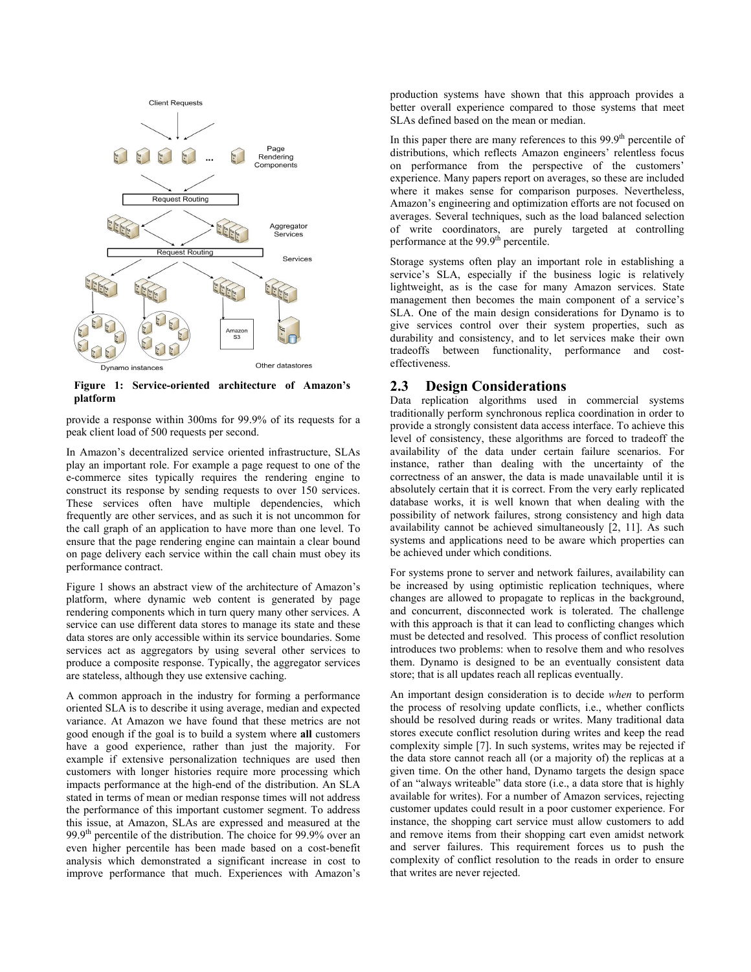

**Figure 1: Service-oriented architecture of Amazon's platform** 

provide a response within 300ms for 99.9% of its requests for a peak client load of 500 requests per second.

In Amazon's decentralized service oriented infrastructure, SLAs play an important role. For example a page request to one of the e-commerce sites typically requires the rendering engine to construct its response by sending requests to over 150 services. These services often have multiple dependencies, which frequently are other services, and as such it is not uncommon for the call graph of an application to have more than one level. To ensure that the page rendering engine can maintain a clear bound on page delivery each service within the call chain must obey its performance contract.

Figure 1 shows an abstract view of the architecture of Amazon's platform, where dynamic web content is generated by page rendering components which in turn query many other services. A service can use different data stores to manage its state and these data stores are only accessible within its service boundaries. Some services act as aggregators by using several other services to produce a composite response. Typically, the aggregator services are stateless, although they use extensive caching.

A common approach in the industry for forming a performance oriented SLA is to describe it using average, median and expected variance. At Amazon we have found that these metrics are not good enough if the goal is to build a system where **all** customers have a good experience, rather than just the majority. For example if extensive personalization techniques are used then customers with longer histories require more processing which impacts performance at the high-end of the distribution. An SLA stated in terms of mean or median response times will not address the performance of this important customer segment. To address this issue, at Amazon, SLAs are expressed and measured at the 99.9th percentile of the distribution. The choice for 99.9% over an even higher percentile has been made based on a cost-benefit analysis which demonstrated a significant increase in cost to improve performance that much. Experiences with Amazon's

production systems have shown that this approach provides a better overall experience compared to those systems that meet SLAs defined based on the mean or median.

In this paper there are many references to this  $99.9<sup>th</sup>$  percentile of distributions, which reflects Amazon engineers' relentless focus on performance from the perspective of the customers' experience. Many papers report on averages, so these are included where it makes sense for comparison purposes. Nevertheless, Amazon's engineering and optimization efforts are not focused on averages. Several techniques, such as the load balanced selection of write coordinators, are purely targeted at controlling performance at the 99.9<sup>th</sup> percentile.

Storage systems often play an important role in establishing a service's SLA, especially if the business logic is relatively lightweight, as is the case for many Amazon services. State management then becomes the main component of a service's SLA. One of the main design considerations for Dynamo is to give services control over their system properties, such as durability and consistency, and to let services make their own tradeoffs between functionality, performance and costeffectiveness.

#### **2.3 Design Considerations**

Data replication algorithms used in commercial systems traditionally perform synchronous replica coordination in order to provide a strongly consistent data access interface. To achieve this level of consistency, these algorithms are forced to tradeoff the availability of the data under certain failure scenarios. For instance, rather than dealing with the uncertainty of the correctness of an answer, the data is made unavailable until it is absolutely certain that it is correct. From the very early replicated database works, it is well known that when dealing with the possibility of network failures, strong consistency and high data availability cannot be achieved simultaneously [2, 11]. As such systems and applications need to be aware which properties can be achieved under which conditions.

For systems prone to server and network failures, availability can be increased by using optimistic replication techniques, where changes are allowed to propagate to replicas in the background, and concurrent, disconnected work is tolerated. The challenge with this approach is that it can lead to conflicting changes which must be detected and resolved. This process of conflict resolution introduces two problems: when to resolve them and who resolves them. Dynamo is designed to be an eventually consistent data store; that is all updates reach all replicas eventually.

An important design consideration is to decide *when* to perform the process of resolving update conflicts, i.e., whether conflicts should be resolved during reads or writes. Many traditional data stores execute conflict resolution during writes and keep the read complexity simple [7]. In such systems, writes may be rejected if the data store cannot reach all (or a majority of) the replicas at a given time. On the other hand, Dynamo targets the design space of an "always writeable" data store (i.e., a data store that is highly available for writes). For a number of Amazon services, rejecting customer updates could result in a poor customer experience. For instance, the shopping cart service must allow customers to add and remove items from their shopping cart even amidst network and server failures. This requirement forces us to push the complexity of conflict resolution to the reads in order to ensure that writes are never rejected.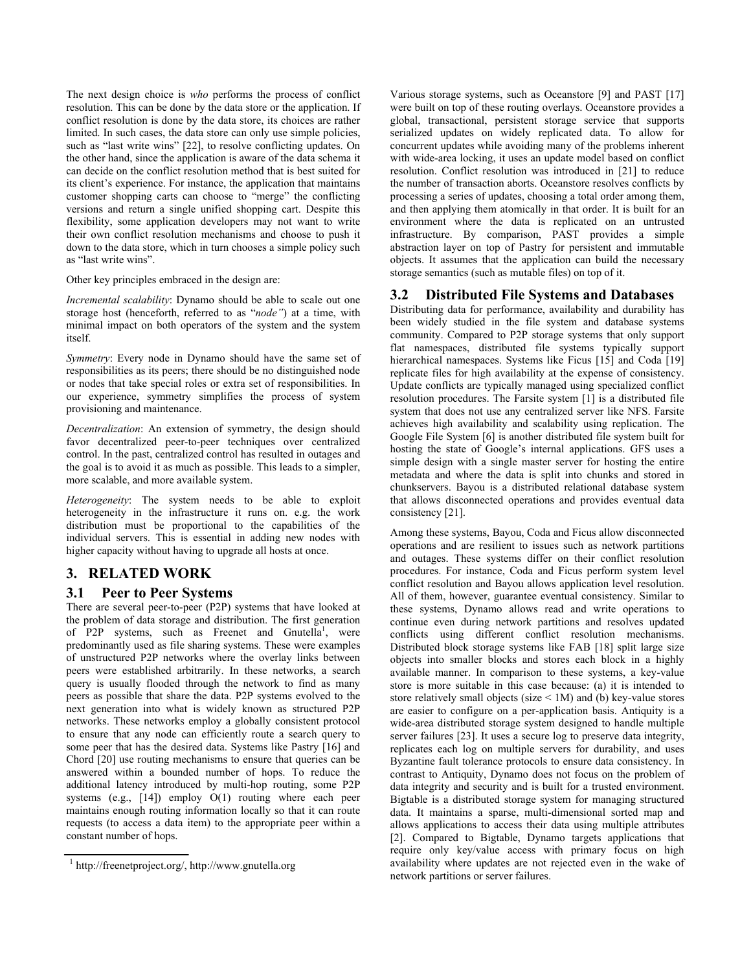The next design choice is *who* performs the process of conflict resolution. This can be done by the data store or the application. If conflict resolution is done by the data store, its choices are rather limited. In such cases, the data store can only use simple policies, such as "last write wins" [22], to resolve conflicting updates. On the other hand, since the application is aware of the data schema it can decide on the conflict resolution method that is best suited for its client's experience. For instance, the application that maintains customer shopping carts can choose to "merge" the conflicting versions and return a single unified shopping cart. Despite this flexibility, some application developers may not want to write their own conflict resolution mechanisms and choose to push it down to the data store, which in turn chooses a simple policy such as "last write wins".

Other key principles embraced in the design are:

*Incremental scalability*: Dynamo should be able to scale out one storage host (henceforth, referred to as "*node"*) at a time, with minimal impact on both operators of the system and the system itself.

*Symmetry*: Every node in Dynamo should have the same set of responsibilities as its peers; there should be no distinguished node or nodes that take special roles or extra set of responsibilities. In our experience, symmetry simplifies the process of system provisioning and maintenance.

*Decentralization*: An extension of symmetry, the design should favor decentralized peer-to-peer techniques over centralized control. In the past, centralized control has resulted in outages and the goal is to avoid it as much as possible. This leads to a simpler, more scalable, and more available system.

*Heterogeneity*: The system needs to be able to exploit heterogeneity in the infrastructure it runs on. e.g. the work distribution must be proportional to the capabilities of the individual servers. This is essential in adding new nodes with higher capacity without having to upgrade all hosts at once.

# **3. RELATED WORK**

#### **3.1 Peer to Peer Systems**

There are several peer-to-peer (P2P) systems that have looked at the problem of data storage and distribution. The first generation of  $P2P$  systems, such as Freenet and Gnutella<sup>1</sup>, were predominantly used as file sharing systems. These were examples of unstructured P2P networks where the overlay links between peers were established arbitrarily. In these networks, a search query is usually flooded through the network to find as many peers as possible that share the data. P2P systems evolved to the next generation into what is widely known as structured P2P networks. These networks employ a globally consistent protocol to ensure that any node can efficiently route a search query to some peer that has the desired data. Systems like Pastry [16] and Chord [20] use routing mechanisms to ensure that queries can be answered within a bounded number of hops. To reduce the additional latency introduced by multi-hop routing, some P2P systems (e.g.,  $[14]$ ) employ  $O(1)$  routing where each peer maintains enough routing information locally so that it can route requests (to access a data item) to the appropriate peer within a constant number of hops.

Various storage systems, such as Oceanstore [9] and PAST [17] were built on top of these routing overlays. Oceanstore provides a global, transactional, persistent storage service that supports serialized updates on widely replicated data. To allow for concurrent updates while avoiding many of the problems inherent with wide-area locking, it uses an update model based on conflict resolution. Conflict resolution was introduced in [21] to reduce the number of transaction aborts. Oceanstore resolves conflicts by processing a series of updates, choosing a total order among them, and then applying them atomically in that order. It is built for an environment where the data is replicated on an untrusted infrastructure. By comparison, PAST provides a simple abstraction layer on top of Pastry for persistent and immutable objects. It assumes that the application can build the necessary storage semantics (such as mutable files) on top of it.

## **3.2 Distributed File Systems and Databases**

Distributing data for performance, availability and durability has been widely studied in the file system and database systems community. Compared to P2P storage systems that only support flat namespaces, distributed file systems typically support hierarchical namespaces. Systems like Ficus [15] and Coda [19] replicate files for high availability at the expense of consistency. Update conflicts are typically managed using specialized conflict resolution procedures. The Farsite system [1] is a distributed file system that does not use any centralized server like NFS. Farsite achieves high availability and scalability using replication. The Google File System [6] is another distributed file system built for hosting the state of Google's internal applications. GFS uses a simple design with a single master server for hosting the entire metadata and where the data is split into chunks and stored in chunkservers. Bayou is a distributed relational database system that allows disconnected operations and provides eventual data consistency [21].

Among these systems, Bayou, Coda and Ficus allow disconnected operations and are resilient to issues such as network partitions and outages. These systems differ on their conflict resolution procedures. For instance, Coda and Ficus perform system level conflict resolution and Bayou allows application level resolution. All of them, however, guarantee eventual consistency. Similar to these systems, Dynamo allows read and write operations to continue even during network partitions and resolves updated conflicts using different conflict resolution mechanisms. Distributed block storage systems like FAB [18] split large size objects into smaller blocks and stores each block in a highly available manner. In comparison to these systems, a key-value store is more suitable in this case because: (a) it is intended to store relatively small objects (size  $\leq 1$ M) and (b) key-value stores are easier to configure on a per-application basis. Antiquity is a wide-area distributed storage system designed to handle multiple server failures [23]. It uses a secure log to preserve data integrity, replicates each log on multiple servers for durability, and uses Byzantine fault tolerance protocols to ensure data consistency. In contrast to Antiquity, Dynamo does not focus on the problem of data integrity and security and is built for a trusted environment. Bigtable is a distributed storage system for managing structured data. It maintains a sparse, multi-dimensional sorted map and allows applications to access their data using multiple attributes [2]. Compared to Bigtable, Dynamo targets applications that require only key/value access with primary focus on high availability where updates are not rejected even in the wake of network partitions or server failures.

<sup>1</sup> http://freenetproject.org/, http://www.gnutella.org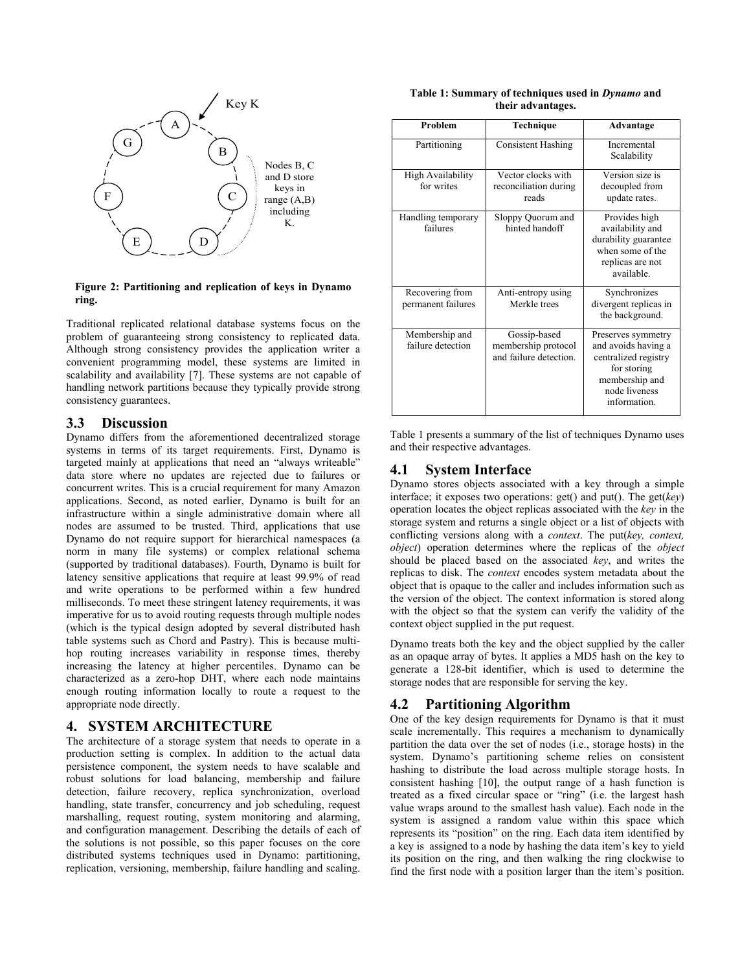

# **Figure 2: Partitioning and replication of keys in Dynamo**<br> **ring.** <br> **ring.** <br> **ring.** <br> **ring.** <br> **ring.** <br> **ring.** <br> **ring.** <br> **ring.** <br> **ring.** <br> **ring.** <br> **ring.** <br> **ring.** <br> **ring.** <br> **ring.** <br> **ring.** <br> **ring.** <br> **r**

Traditional replicated relational database systems focus on the problem of guaranteeing strong consistency to replicated data. Although strong consistency provides the application writer a convenient programming model, these systems are limited in scalability and availability [7]. These systems are not capable of handling network partitions because they typically provide strong consistency guarantees.

# **3.3 Discussion**

Dynamo differs from the aforementioned decentralized storage systems in terms of its target requirements. First, Dynamo is targeted mainly at applications that need an "always writeable" data store where no updates are rejected due to failures or concurrent writes. This is a crucial requirement for many Amazon applications. Second, as noted earlier, Dynamo is built for an infrastructure within a single administrative domain where all nodes are assumed to be trusted. Third, applications that use Dynamo do not require support for hierarchical namespaces (a norm in many file systems) or complex relational schema (supported by traditional databases). Fourth, Dynamo is built for latency sensitive applications that require at least 99.9% of read and write operations to be performed within a few hundred milliseconds. To meet these stringent latency requirements, it was imperative for us to avoid routing requests through multiple nodes (which is the typical design adopted by several distributed hash table systems such as Chord and Pastry). This is because multihop routing increases variability in response times, thereby increasing the latency at higher percentiles. Dynamo can be characterized as a zero-hop DHT, where each node maintains enough routing information locally to route a request to the appropriate node directly.

# **4. SYSTEM ARCHITECTURE**

The architecture of a storage system that needs to operate in a production setting is complex. In addition to the actual data persistence component, the system needs to have scalable and robust solutions for load balancing, membership and failure detection, failure recovery, replica synchronization, overload handling, state transfer, concurrency and job scheduling, request marshalling, request routing, system monitoring and alarming, and configuration management. Describing the details of each of the solutions is not possible, so this paper focuses on the core distributed systems techniques used in Dynamo: partitioning, replication, versioning, membership, failure handling and scaling.

| Table 1: Summary of techniques used in Dynamo and |
|---------------------------------------------------|
| their advantages.                                 |

| Problem                               | Technique                                                     | Advantage                                                                                                                           |  |  |  |
|---------------------------------------|---------------------------------------------------------------|-------------------------------------------------------------------------------------------------------------------------------------|--|--|--|
| Partitioning                          | <b>Consistent Hashing</b>                                     | Incremental<br>Scalability                                                                                                          |  |  |  |
| High Availability<br>for writes       | Vector clocks with<br>reconciliation during<br>reads          | Version size is<br>decoupled from<br>update rates.                                                                                  |  |  |  |
| Handling temporary<br>failures        | Sloppy Quorum and<br>hinted handoff                           | Provides high<br>availability and<br>durability guarantee<br>when some of the<br>replicas are not<br>available.                     |  |  |  |
| Recovering from<br>permanent failures | Anti-entropy using<br>Merkle trees                            | Synchronizes<br>divergent replicas in<br>the background.                                                                            |  |  |  |
| Membership and<br>failure detection   | Gossip-based<br>membership protocol<br>and failure detection. | Preserves symmetry<br>and avoids having a<br>centralized registry<br>for storing<br>membership and<br>node liveness<br>information. |  |  |  |

Table 1 presents a summary of the list of techniques Dynamo uses and their respective advantages.

# **4.1 System Interface**

Dynamo stores objects associated with a key through a simple interface; it exposes two operations: get() and put(). The get(*key*) operation locates the object replicas associated with the *key* in the storage system and returns a single object or a list of objects with conflicting versions along with a *context*. The put(*key, context, object*) operation determines where the replicas of the *object*  should be placed based on the associated *key*, and writes the replicas to disk. The *context* encodes system metadata about the object that is opaque to the caller and includes information such as the version of the object. The context information is stored along with the object so that the system can verify the validity of the context object supplied in the put request.

Dynamo treats both the key and the object supplied by the caller as an opaque array of bytes. It applies a MD5 hash on the key to generate a 128-bit identifier, which is used to determine the storage nodes that are responsible for serving the key.

# **4.2 Partitioning Algorithm**

One of the key design requirements for Dynamo is that it must scale incrementally. This requires a mechanism to dynamically partition the data over the set of nodes (i.e., storage hosts) in the system. Dynamo's partitioning scheme relies on consistent hashing to distribute the load across multiple storage hosts. In consistent hashing [10], the output range of a hash function is treated as a fixed circular space or "ring" (i.e. the largest hash value wraps around to the smallest hash value). Each node in the system is assigned a random value within this space which represents its "position" on the ring. Each data item identified by a key is assigned to a node by hashing the data item's key to yield its position on the ring, and then walking the ring clockwise to find the first node with a position larger than the item's position.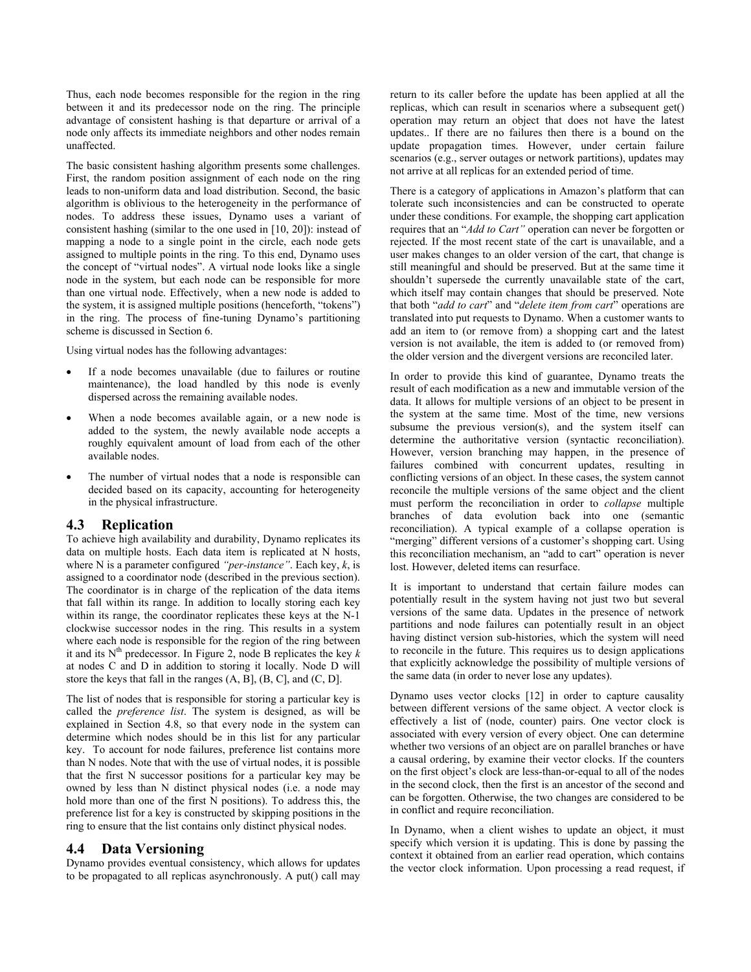Thus, each node becomes responsible for the region in the ring between it and its predecessor node on the ring. The principle advantage of consistent hashing is that departure or arrival of a node only affects its immediate neighbors and other nodes remain unaffected.

The basic consistent hashing algorithm presents some challenges. First, the random position assignment of each node on the ring leads to non-uniform data and load distribution. Second, the basic algorithm is oblivious to the heterogeneity in the performance of nodes. To address these issues, Dynamo uses a variant of consistent hashing (similar to the one used in [10, 20]): instead of mapping a node to a single point in the circle, each node gets assigned to multiple points in the ring. To this end, Dynamo uses the concept of "virtual nodes". A virtual node looks like a single node in the system, but each node can be responsible for more than one virtual node. Effectively, when a new node is added to the system, it is assigned multiple positions (henceforth, "tokens") in the ring. The process of fine-tuning Dynamo's partitioning scheme is discussed in Section 6.

Using virtual nodes has the following advantages:

- If a node becomes unavailable (due to failures or routine maintenance), the load handled by this node is evenly dispersed across the remaining available nodes.
- When a node becomes available again, or a new node is added to the system, the newly available node accepts a roughly equivalent amount of load from each of the other available nodes.
- The number of virtual nodes that a node is responsible can decided based on its capacity, accounting for heterogeneity in the physical infrastructure.

# **4.3 Replication**

To achieve high availability and durability, Dynamo replicates its data on multiple hosts. Each data item is replicated at N hosts, where N is a parameter configured *"per-instance"*. Each key, *k*, is assigned to a coordinator node (described in the previous section). The coordinator is in charge of the replication of the data items that fall within its range. In addition to locally storing each key within its range, the coordinator replicates these keys at the N-1 clockwise successor nodes in the ring. This results in a system where each node is responsible for the region of the ring between it and its  $N^{th}$  predecessor. In Figure 2, node B replicates the key  $k$ at nodes C and D in addition to storing it locally. Node D will store the keys that fall in the ranges (A, B], (B, C], and (C, D].

The list of nodes that is responsible for storing a particular key is called the *preference list*. The system is designed, as will be explained in Section 4.8, so that every node in the system can determine which nodes should be in this list for any particular key. To account for node failures, preference list contains more than N nodes. Note that with the use of virtual nodes, it is possible that the first N successor positions for a particular key may be owned by less than N distinct physical nodes (i.e. a node may hold more than one of the first N positions). To address this, the preference list for a key is constructed by skipping positions in the ring to ensure that the list contains only distinct physical nodes.

# **4.4 Data Versioning**

Dynamo provides eventual consistency, which allows for updates to be propagated to all replicas asynchronously. A put() call may

return to its caller before the update has been applied at all the replicas, which can result in scenarios where a subsequent get() operation may return an object that does not have the latest updates.. If there are no failures then there is a bound on the update propagation times. However, under certain failure scenarios (e.g., server outages or network partitions), updates may not arrive at all replicas for an extended period of time.

There is a category of applications in Amazon's platform that can tolerate such inconsistencies and can be constructed to operate under these conditions. For example, the shopping cart application requires that an "*Add to Cart"* operation can never be forgotten or rejected. If the most recent state of the cart is unavailable, and a user makes changes to an older version of the cart, that change is still meaningful and should be preserved. But at the same time it shouldn't supersede the currently unavailable state of the cart, which itself may contain changes that should be preserved. Note that both "*add to cart*" and "*delete item from cart*" operations are translated into put requests to Dynamo. When a customer wants to add an item to (or remove from) a shopping cart and the latest version is not available, the item is added to (or removed from) the older version and the divergent versions are reconciled later.

In order to provide this kind of guarantee, Dynamo treats the result of each modification as a new and immutable version of the data. It allows for multiple versions of an object to be present in the system at the same time. Most of the time, new versions subsume the previous version(s), and the system itself can determine the authoritative version (syntactic reconciliation). However, version branching may happen, in the presence of failures combined with concurrent updates, resulting in conflicting versions of an object. In these cases, the system cannot reconcile the multiple versions of the same object and the client must perform the reconciliation in order to *collapse* multiple branches of data evolution back into one (semantic reconciliation). A typical example of a collapse operation is "merging" different versions of a customer's shopping cart. Using this reconciliation mechanism, an "add to cart" operation is never lost. However, deleted items can resurface.

It is important to understand that certain failure modes can potentially result in the system having not just two but several versions of the same data. Updates in the presence of network partitions and node failures can potentially result in an object having distinct version sub-histories, which the system will need to reconcile in the future. This requires us to design applications that explicitly acknowledge the possibility of multiple versions of the same data (in order to never lose any updates).

Dynamo uses vector clocks [12] in order to capture causality between different versions of the same object. A vector clock is effectively a list of (node, counter) pairs. One vector clock is associated with every version of every object. One can determine whether two versions of an object are on parallel branches or have a causal ordering, by examine their vector clocks. If the counters on the first object's clock are less-than-or-equal to all of the nodes in the second clock, then the first is an ancestor of the second and can be forgotten. Otherwise, the two changes are considered to be in conflict and require reconciliation.

In Dynamo, when a client wishes to update an object, it must specify which version it is updating. This is done by passing the context it obtained from an earlier read operation, which contains the vector clock information. Upon processing a read request, if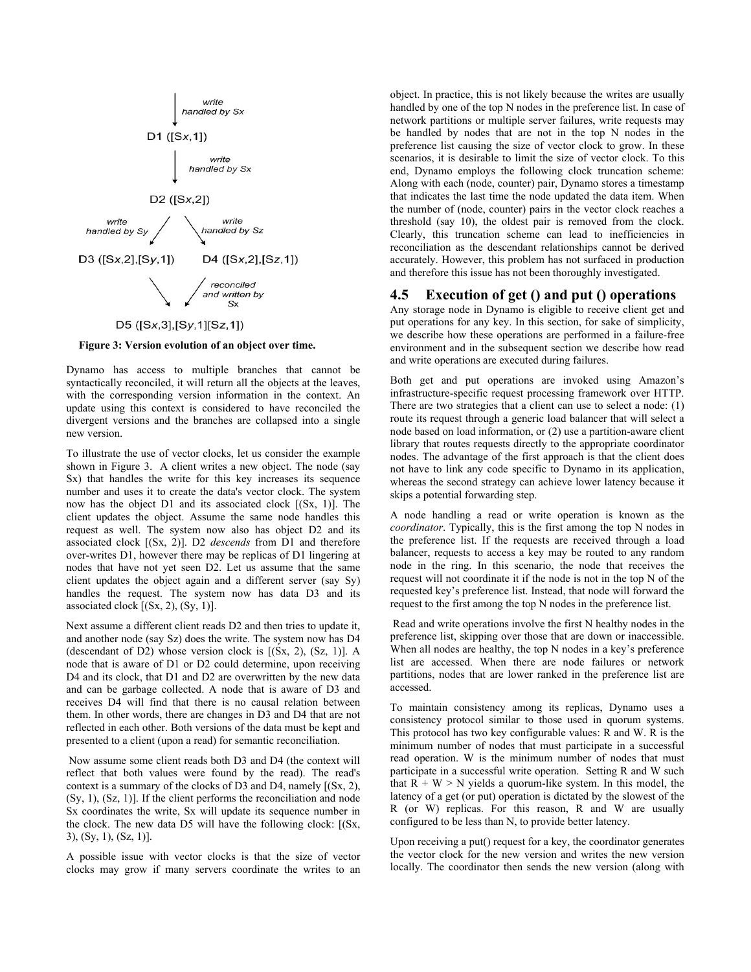

#### D5 ([Sx,3],[Sy,1][Sz,1])

#### **Figure 3: Version evolution of an object over time.**

Dynamo has access to multiple branches that cannot be syntactically reconciled, it will return all the objects at the leaves, with the corresponding version information in the context. An update using this context is considered to have reconciled the divergent versions and the branches are collapsed into a single new version.

To illustrate the use of vector clocks, let us consider the example shown in Figure 3. A client writes a new object. The node (say Sx) that handles the write for this key increases its sequence number and uses it to create the data's vector clock. The system now has the object D1 and its associated clock [(Sx, 1)]. The client updates the object. Assume the same node handles this request as well. The system now also has object D2 and its associated clock [(Sx, 2)]. D2 *descends* from D1 and therefore over-writes D1, however there may be replicas of D1 lingering at nodes that have not yet seen D2. Let us assume that the same client updates the object again and a different server (say Sy) handles the request. The system now has data D3 and its associated clock  $[(Sx, 2), (Sy, 1)].$ 

Next assume a different client reads D2 and then tries to update it, and another node (say Sz) does the write. The system now has D4 (descendant of D2) whose version clock is  $[(Sx, 2), (Sz, 1)]$ . A node that is aware of D1 or D2 could determine, upon receiving D4 and its clock, that D1 and D2 are overwritten by the new data and can be garbage collected. A node that is aware of D3 and receives D4 will find that there is no causal relation between them. In other words, there are changes in D3 and D4 that are not reflected in each other. Both versions of the data must be kept and presented to a client (upon a read) for semantic reconciliation.

 Now assume some client reads both D3 and D4 (the context will reflect that both values were found by the read). The read's context is a summary of the clocks of D3 and D4, namely [(Sx, 2), (Sy, 1), (Sz, 1)]. If the client performs the reconciliation and node Sx coordinates the write, Sx will update its sequence number in the clock. The new data D5 will have the following clock: [(Sx, 3), (Sy, 1), (Sz, 1)].

A possible issue with vector clocks is that the size of vector clocks may grow if many servers coordinate the writes to an

object. In practice, this is not likely because the writes are usually handled by one of the top N nodes in the preference list. In case of network partitions or multiple server failures, write requests may be handled by nodes that are not in the top N nodes in the preference list causing the size of vector clock to grow. In these scenarios, it is desirable to limit the size of vector clock. To this end, Dynamo employs the following clock truncation scheme: Along with each (node, counter) pair, Dynamo stores a timestamp that indicates the last time the node updated the data item. When the number of (node, counter) pairs in the vector clock reaches a threshold (say 10), the oldest pair is removed from the clock. Clearly, this truncation scheme can lead to inefficiencies in reconciliation as the descendant relationships cannot be derived accurately. However, this problem has not surfaced in production and therefore this issue has not been thoroughly investigated.

#### **4.5 Execution of get () and put () operations**

Any storage node in Dynamo is eligible to receive client get and put operations for any key. In this section, for sake of simplicity, we describe how these operations are performed in a failure-free environment and in the subsequent section we describe how read and write operations are executed during failures.

Both get and put operations are invoked using Amazon's infrastructure-specific request processing framework over HTTP. There are two strategies that a client can use to select a node: (1) route its request through a generic load balancer that will select a node based on load information, or (2) use a partition-aware client library that routes requests directly to the appropriate coordinator nodes. The advantage of the first approach is that the client does not have to link any code specific to Dynamo in its application, whereas the second strategy can achieve lower latency because it skips a potential forwarding step.

A node handling a read or write operation is known as the *coordinator*. Typically, this is the first among the top N nodes in the preference list. If the requests are received through a load balancer, requests to access a key may be routed to any random node in the ring. In this scenario, the node that receives the request will not coordinate it if the node is not in the top N of the requested key's preference list. Instead, that node will forward the request to the first among the top N nodes in the preference list.

 Read and write operations involve the first N healthy nodes in the preference list, skipping over those that are down or inaccessible. When all nodes are healthy, the top N nodes in a key's preference list are accessed. When there are node failures or network partitions, nodes that are lower ranked in the preference list are accessed.

To maintain consistency among its replicas, Dynamo uses a consistency protocol similar to those used in quorum systems. This protocol has two key configurable values: R and W. R is the minimum number of nodes that must participate in a successful read operation. W is the minimum number of nodes that must participate in a successful write operation. Setting R and W such that  $R + W > N$  yields a quorum-like system. In this model, the latency of a get (or put) operation is dictated by the slowest of the R (or W) replicas. For this reason, R and W are usually configured to be less than N, to provide better latency.

Upon receiving a put() request for a key, the coordinator generates the vector clock for the new version and writes the new version locally. The coordinator then sends the new version (along with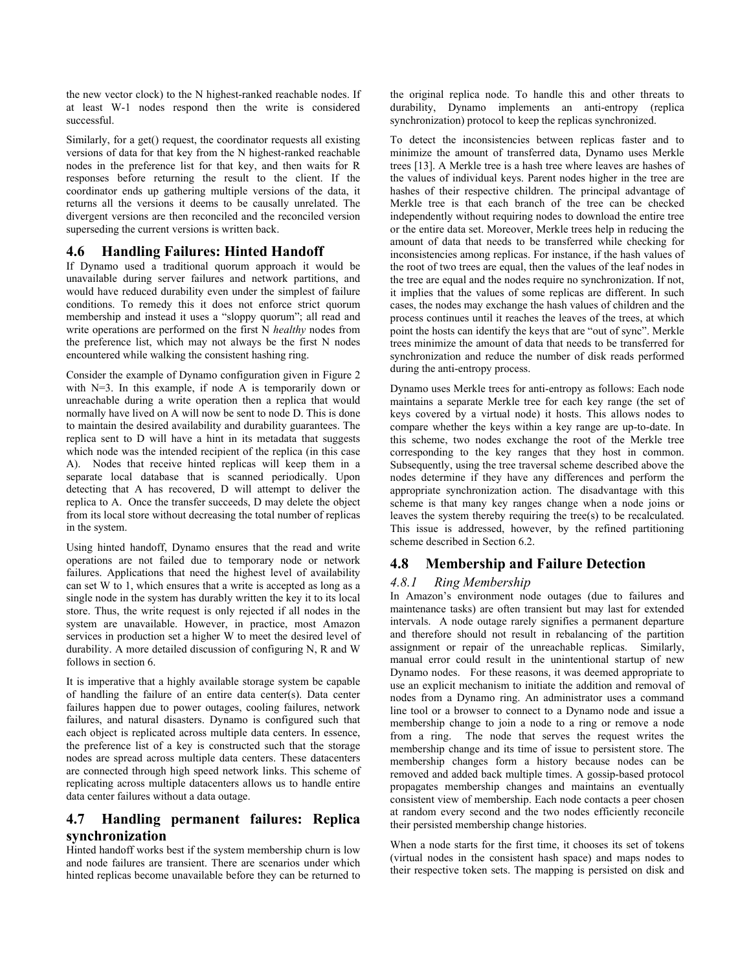the new vector clock) to the N highest-ranked reachable nodes. If at least W-1 nodes respond then the write is considered successful.

Similarly, for a get() request, the coordinator requests all existing versions of data for that key from the N highest-ranked reachable nodes in the preference list for that key, and then waits for R responses before returning the result to the client. If the coordinator ends up gathering multiple versions of the data, it returns all the versions it deems to be causally unrelated. The divergent versions are then reconciled and the reconciled version superseding the current versions is written back.

# **4.6 Handling Failures: Hinted Handoff**

If Dynamo used a traditional quorum approach it would be unavailable during server failures and network partitions, and would have reduced durability even under the simplest of failure conditions. To remedy this it does not enforce strict quorum membership and instead it uses a "sloppy quorum"; all read and write operations are performed on the first N *healthy* nodes from the preference list, which may not always be the first N nodes encountered while walking the consistent hashing ring.

Consider the example of Dynamo configuration given in Figure 2 with N=3. In this example, if node A is temporarily down or unreachable during a write operation then a replica that would normally have lived on A will now be sent to node D. This is done to maintain the desired availability and durability guarantees. The replica sent to D will have a hint in its metadata that suggests which node was the intended recipient of the replica (in this case A). Nodes that receive hinted replicas will keep them in a separate local database that is scanned periodically. Upon detecting that A has recovered, D will attempt to deliver the replica to A. Once the transfer succeeds, D may delete the object from its local store without decreasing the total number of replicas in the system.

Using hinted handoff, Dynamo ensures that the read and write operations are not failed due to temporary node or network failures. Applications that need the highest level of availability can set W to 1, which ensures that a write is accepted as long as a single node in the system has durably written the key it to its local store. Thus, the write request is only rejected if all nodes in the system are unavailable. However, in practice, most Amazon services in production set a higher W to meet the desired level of durability. A more detailed discussion of configuring N, R and W follows in section 6.

It is imperative that a highly available storage system be capable of handling the failure of an entire data center(s). Data center failures happen due to power outages, cooling failures, network failures, and natural disasters. Dynamo is configured such that each object is replicated across multiple data centers. In essence, the preference list of a key is constructed such that the storage nodes are spread across multiple data centers. These datacenters are connected through high speed network links. This scheme of replicating across multiple datacenters allows us to handle entire data center failures without a data outage.

# **4.7 Handling permanent failures: Replica synchronization**

Hinted handoff works best if the system membership churn is low and node failures are transient. There are scenarios under which hinted replicas become unavailable before they can be returned to the original replica node. To handle this and other threats to durability, Dynamo implements an anti-entropy (replica synchronization) protocol to keep the replicas synchronized.

To detect the inconsistencies between replicas faster and to minimize the amount of transferred data, Dynamo uses Merkle trees [13]. A Merkle tree is a hash tree where leaves are hashes of the values of individual keys. Parent nodes higher in the tree are hashes of their respective children. The principal advantage of Merkle tree is that each branch of the tree can be checked independently without requiring nodes to download the entire tree or the entire data set. Moreover, Merkle trees help in reducing the amount of data that needs to be transferred while checking for inconsistencies among replicas. For instance, if the hash values of the root of two trees are equal, then the values of the leaf nodes in the tree are equal and the nodes require no synchronization. If not, it implies that the values of some replicas are different. In such cases, the nodes may exchange the hash values of children and the process continues until it reaches the leaves of the trees, at which point the hosts can identify the keys that are "out of sync". Merkle trees minimize the amount of data that needs to be transferred for synchronization and reduce the number of disk reads performed during the anti-entropy process.

Dynamo uses Merkle trees for anti-entropy as follows: Each node maintains a separate Merkle tree for each key range (the set of keys covered by a virtual node) it hosts. This allows nodes to compare whether the keys within a key range are up-to-date. In this scheme, two nodes exchange the root of the Merkle tree corresponding to the key ranges that they host in common. Subsequently, using the tree traversal scheme described above the nodes determine if they have any differences and perform the appropriate synchronization action. The disadvantage with this scheme is that many key ranges change when a node joins or leaves the system thereby requiring the tree(s) to be recalculated. This issue is addressed, however, by the refined partitioning scheme described in Section 6.2.

# **4.8 Membership and Failure Detection**

# *4.8.1 Ring Membership*

In Amazon's environment node outages (due to failures and maintenance tasks) are often transient but may last for extended intervals. A node outage rarely signifies a permanent departure and therefore should not result in rebalancing of the partition assignment or repair of the unreachable replicas. Similarly, manual error could result in the unintentional startup of new Dynamo nodes. For these reasons, it was deemed appropriate to use an explicit mechanism to initiate the addition and removal of nodes from a Dynamo ring. An administrator uses a command line tool or a browser to connect to a Dynamo node and issue a membership change to join a node to a ring or remove a node from a ring. The node that serves the request writes the membership change and its time of issue to persistent store. The membership changes form a history because nodes can be removed and added back multiple times. A gossip-based protocol propagates membership changes and maintains an eventually consistent view of membership. Each node contacts a peer chosen at random every second and the two nodes efficiently reconcile their persisted membership change histories.

When a node starts for the first time, it chooses its set of tokens (virtual nodes in the consistent hash space) and maps nodes to their respective token sets. The mapping is persisted on disk and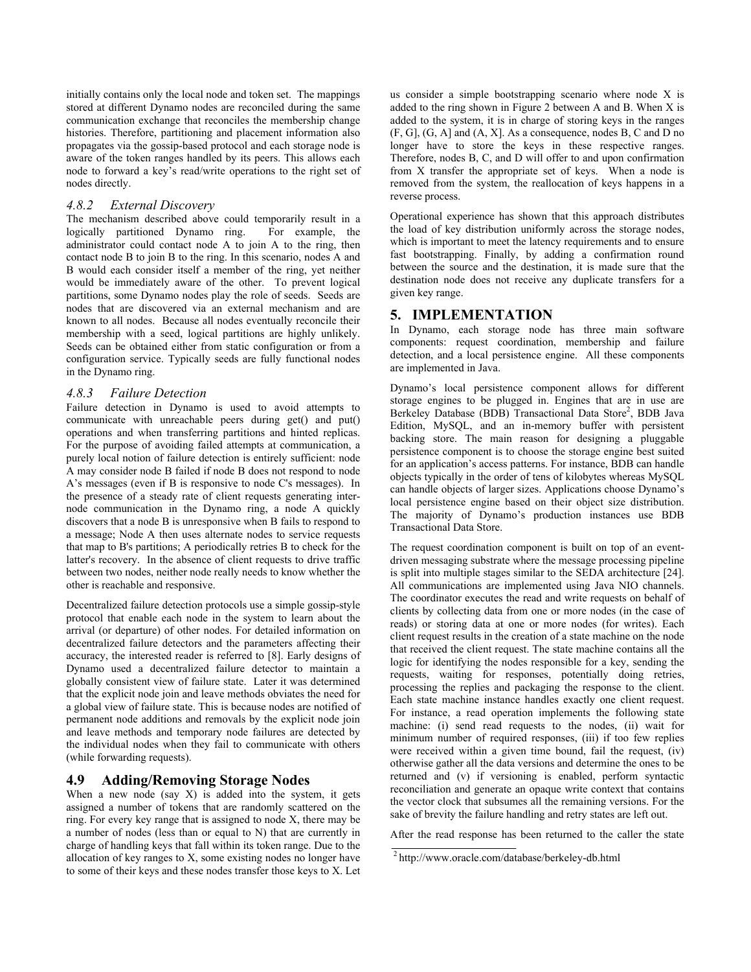initially contains only the local node and token set. The mappings stored at different Dynamo nodes are reconciled during the same communication exchange that reconciles the membership change histories. Therefore, partitioning and placement information also propagates via the gossip-based protocol and each storage node is aware of the token ranges handled by its peers. This allows each node to forward a key's read/write operations to the right set of nodes directly.

#### *4.8.2 External Discovery*

The mechanism described above could temporarily result in a logically partitioned Dynamo ring. For example, the administrator could contact node A to join A to the ring, then contact node B to join B to the ring. In this scenario, nodes A and B would each consider itself a member of the ring, yet neither would be immediately aware of the other. To prevent logical partitions, some Dynamo nodes play the role of seeds. Seeds are nodes that are discovered via an external mechanism and are known to all nodes. Because all nodes eventually reconcile their membership with a seed, logical partitions are highly unlikely. Seeds can be obtained either from static configuration or from a configuration service. Typically seeds are fully functional nodes in the Dynamo ring.

### *4.8.3 Failure Detection*

Failure detection in Dynamo is used to avoid attempts to communicate with unreachable peers during get() and put() operations and when transferring partitions and hinted replicas. For the purpose of avoiding failed attempts at communication, a purely local notion of failure detection is entirely sufficient: node A may consider node B failed if node B does not respond to node A's messages (even if B is responsive to node C's messages). In the presence of a steady rate of client requests generating internode communication in the Dynamo ring, a node A quickly discovers that a node B is unresponsive when B fails to respond to a message; Node A then uses alternate nodes to service requests that map to B's partitions; A periodically retries B to check for the latter's recovery. In the absence of client requests to drive traffic between two nodes, neither node really needs to know whether the other is reachable and responsive.

Decentralized failure detection protocols use a simple gossip-style protocol that enable each node in the system to learn about the arrival (or departure) of other nodes. For detailed information on decentralized failure detectors and the parameters affecting their accuracy, the interested reader is referred to [8]. Early designs of Dynamo used a decentralized failure detector to maintain a globally consistent view of failure state. Later it was determined that the explicit node join and leave methods obviates the need for a global view of failure state. This is because nodes are notified of permanent node additions and removals by the explicit node join and leave methods and temporary node failures are detected by the individual nodes when they fail to communicate with others (while forwarding requests).

# **4.9 Adding/Removing Storage Nodes**

When a new node  $(say X)$  is added into the system, it gets assigned a number of tokens that are randomly scattered on the ring. For every key range that is assigned to node X, there may be a number of nodes (less than or equal to N) that are currently in charge of handling keys that fall within its token range. Due to the allocation of key ranges to X, some existing nodes no longer have to some of their keys and these nodes transfer those keys to X. Let

us consider a simple bootstrapping scenario where node X is added to the ring shown in Figure 2 between A and B. When X is added to the system, it is in charge of storing keys in the ranges (F, G], (G, A] and (A, X]. As a consequence, nodes B, C and D no longer have to store the keys in these respective ranges. Therefore, nodes B, C, and D will offer to and upon confirmation from X transfer the appropriate set of keys. When a node is removed from the system, the reallocation of keys happens in a reverse process.

Operational experience has shown that this approach distributes the load of key distribution uniformly across the storage nodes, which is important to meet the latency requirements and to ensure fast bootstrapping. Finally, by adding a confirmation round between the source and the destination, it is made sure that the destination node does not receive any duplicate transfers for a given key range.

## **5. IMPLEMENTATION**

In Dynamo, each storage node has three main software components: request coordination, membership and failure detection, and a local persistence engine. All these components are implemented in Java.

Dynamo's local persistence component allows for different storage engines to be plugged in. Engines that are in use are Berkeley Database (BDB) Transactional Data Store<sup>2</sup>, BDB Java Edition, MySQL, and an in-memory buffer with persistent backing store. The main reason for designing a pluggable persistence component is to choose the storage engine best suited for an application's access patterns. For instance, BDB can handle objects typically in the order of tens of kilobytes whereas MySQL can handle objects of larger sizes. Applications choose Dynamo's local persistence engine based on their object size distribution. The majority of Dynamo's production instances use BDB Transactional Data Store.

The request coordination component is built on top of an eventdriven messaging substrate where the message processing pipeline is split into multiple stages similar to the SEDA architecture [24]. All communications are implemented using Java NIO channels. The coordinator executes the read and write requests on behalf of clients by collecting data from one or more nodes (in the case of reads) or storing data at one or more nodes (for writes). Each client request results in the creation of a state machine on the node that received the client request. The state machine contains all the logic for identifying the nodes responsible for a key, sending the requests, waiting for responses, potentially doing retries, processing the replies and packaging the response to the client. Each state machine instance handles exactly one client request. For instance, a read operation implements the following state machine: (i) send read requests to the nodes, (ii) wait for minimum number of required responses, (iii) if too few replies were received within a given time bound, fail the request, (iv) otherwise gather all the data versions and determine the ones to be returned and (v) if versioning is enabled, perform syntactic reconciliation and generate an opaque write context that contains the vector clock that subsumes all the remaining versions. For the sake of brevity the failure handling and retry states are left out.

After the read response has been returned to the caller the state

<sup>2</sup> http://www.oracle.com/database/berkeley-db.html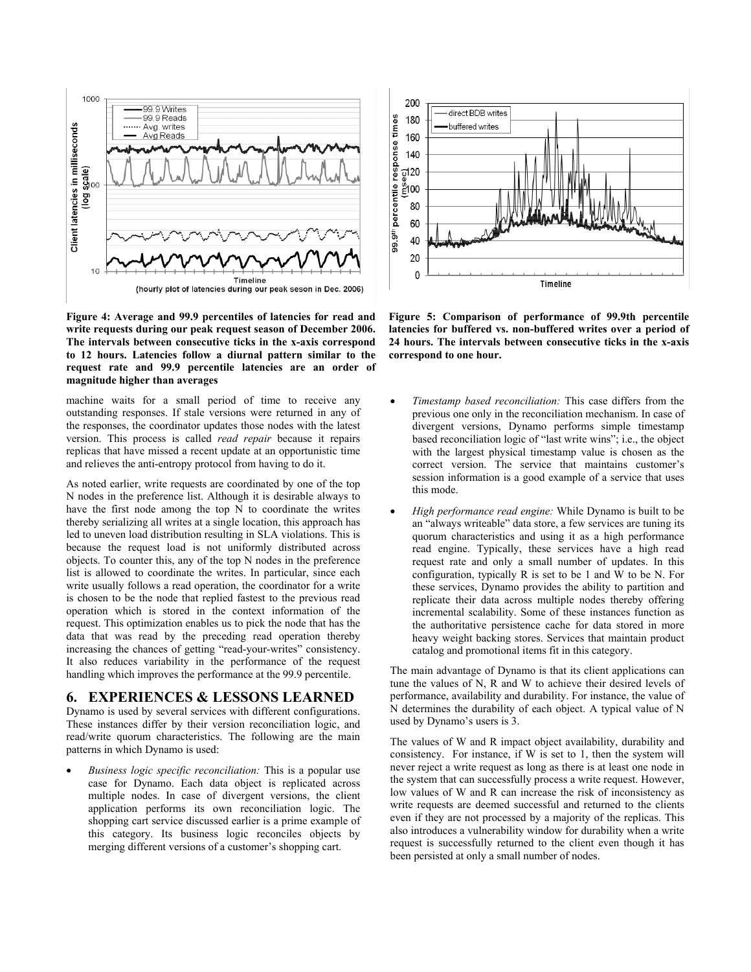

**Figure 4: Average and 99.9 percentiles of latencies for read and write requests during our peak request season of December 2006. The intervals between consecutive ticks in the x-axis correspond to 12 hours. Latencies follow a diurnal pattern similar to the request rate and 99.9 percentile latencies are an order of magnitude higher than averages** 

machine waits for a small period of time to receive any outstanding responses. If stale versions were returned in any of the responses, the coordinator updates those nodes with the latest version. This process is called *read repair* because it repairs replicas that have missed a recent update at an opportunistic time and relieves the anti-entropy protocol from having to do it.

As noted earlier, write requests are coordinated by one of the top N nodes in the preference list. Although it is desirable always to have the first node among the top N to coordinate the writes thereby serializing all writes at a single location, this approach has led to uneven load distribution resulting in SLA violations. This is because the request load is not uniformly distributed across objects. To counter this, any of the top N nodes in the preference list is allowed to coordinate the writes. In particular, since each write usually follows a read operation, the coordinator for a write is chosen to be the node that replied fastest to the previous read operation which is stored in the context information of the request. This optimization enables us to pick the node that has the data that was read by the preceding read operation thereby increasing the chances of getting "read-your-writes" consistency. It also reduces variability in the performance of the request handling which improves the performance at the 99.9 percentile.

## **6. EXPERIENCES & LESSONS LEARNED**

Dynamo is used by several services with different configurations. These instances differ by their version reconciliation logic, and read/write quorum characteristics. The following are the main patterns in which Dynamo is used:

• *Business logic specific reconciliation:* This is a popular use case for Dynamo. Each data object is replicated across multiple nodes. In case of divergent versions, the client application performs its own reconciliation logic. The shopping cart service discussed earlier is a prime example of this category. Its business logic reconciles objects by merging different versions of a customer's shopping cart.



**Figure 5: Comparison of performance of 99.9th percentile latencies for buffered vs. non-buffered writes over a period of 24 hours. The intervals between consecutive ticks in the x-axis correspond to one hour.** 

- *Timestamp based reconciliation:* This case differs from the previous one only in the reconciliation mechanism. In case of divergent versions, Dynamo performs simple timestamp based reconciliation logic of "last write wins"; i.e., the object with the largest physical timestamp value is chosen as the correct version. The service that maintains customer's session information is a good example of a service that uses this mode.
- *High performance read engine:* While Dynamo is built to be an "always writeable" data store, a few services are tuning its quorum characteristics and using it as a high performance read engine. Typically, these services have a high read request rate and only a small number of updates. In this configuration, typically R is set to be 1 and W to be N. For these services, Dynamo provides the ability to partition and replicate their data across multiple nodes thereby offering incremental scalability. Some of these instances function as the authoritative persistence cache for data stored in more heavy weight backing stores. Services that maintain product catalog and promotional items fit in this category.

The main advantage of Dynamo is that its client applications can tune the values of N, R and W to achieve their desired levels of performance, availability and durability. For instance, the value of N determines the durability of each object. A typical value of N used by Dynamo's users is 3.

The values of W and R impact object availability, durability and consistency. For instance, if W is set to 1, then the system will never reject a write request as long as there is at least one node in the system that can successfully process a write request. However, low values of W and R can increase the risk of inconsistency as write requests are deemed successful and returned to the clients even if they are not processed by a majority of the replicas. This also introduces a vulnerability window for durability when a write request is successfully returned to the client even though it has been persisted at only a small number of nodes.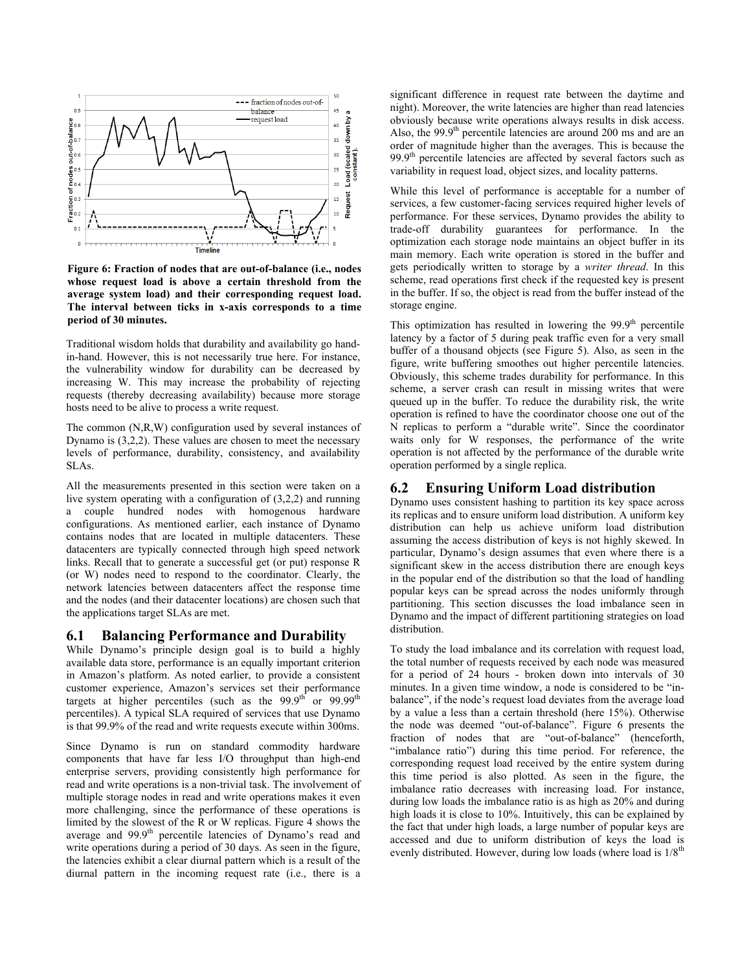

**Figure 6: Fraction of nodes that are out-of-balance (i.e., nodes whose request load is above a certain threshold from the average system load) and their corresponding request load. The interval between ticks in x-axis corresponds to a time**

Traditional wisdom holds that durability and availability go handin-hand. However, this is not necessarily true here. For instance, the vulnerability window for durability can be decreased by increasing W. This may increase the probability of rejecting requests (thereby decreasing availability) because more storage hosts need to be alive to process a write request.

The common (N,R,W) configuration used by several instances of Dynamo is (3,2,2). These values are chosen to meet the necessary levels of performance, durability, consistency, and availability SLAs.

All the measurements presented in this section were taken on a live system operating with a configuration of (3,2,2) and running a couple hundred nodes with homogenous hardware configurations. As mentioned earlier, each instance of Dynamo contains nodes that are located in multiple datacenters. These datacenters are typically connected through high speed network links. Recall that to generate a successful get (or put) response R (or W) nodes need to respond to the coordinator. Clearly, the network latencies between datacenters affect the response time and the nodes (and their datacenter locations) are chosen such that the applications target SLAs are met.

# **6.1 Balancing Performance and Durability**

While Dynamo's principle design goal is to build a highly available data store, performance is an equally important criterion in Amazon's platform. As noted earlier, to provide a consistent customer experience, Amazon's services set their performance targets at higher percentiles (such as the  $99.9^{th}$  or  $99.99^{th}$ percentiles). A typical SLA required of services that use Dynamo is that 99.9% of the read and write requests execute within 300ms.

Since Dynamo is run on standard commodity hardware components that have far less I/O throughput than high-end enterprise servers, providing consistently high performance for read and write operations is a non-trivial task. The involvement of multiple storage nodes in read and write operations makes it even more challenging, since the performance of these operations is limited by the slowest of the R or W replicas. Figure 4 shows the average and 99.9<sup>th</sup> percentile latencies of Dynamo's read and write operations during a period of 30 days. As seen in the figure, the latencies exhibit a clear diurnal pattern which is a result of the diurnal pattern in the incoming request rate (i.e., there is a

significant difference in request rate between the daytime and night). Moreover, the write latencies are higher than read latencies obviously because write operations always results in disk access. Also, the 99.9<sup>th</sup> percentile latencies are around 200 ms and are an order of magnitude higher than the averages. This is because the 99.9<sup>th</sup> percentile latencies are affected by several factors such as variability in request load, object sizes, and locality patterns.

While this level of performance is acceptable for a number of services, a few customer-facing services required higher levels of performance. For these services, Dynamo provides the ability to trade-off durability guarantees for performance. In the optimization each storage node maintains an object buffer in its main memory. Each write operation is stored in the buffer and gets periodically written to storage by a *writer thread*. In this scheme, read operations first check if the requested key is present in the buffer. If so, the object is read from the buffer instead of the storage engine.

**period of 30 minutes.** This optimization has resulted in lowering the 99.9<sup>th</sup> percentile latency by a factor of 5 during peak traffic even for a very small buffer of a thousand objects (see Figure 5). Also, as seen in the figure, write buffering smoothes out higher percentile latencies. Obviously, this scheme trades durability for performance. In this scheme, a server crash can result in missing writes that were queued up in the buffer. To reduce the durability risk, the write operation is refined to have the coordinator choose one out of the N replicas to perform a "durable write". Since the coordinator waits only for W responses, the performance of the write operation is not affected by the performance of the durable write operation performed by a single replica.

## **6.2 Ensuring Uniform Load distribution**

Dynamo uses consistent hashing to partition its key space across its replicas and to ensure uniform load distribution. A uniform key distribution can help us achieve uniform load distribution assuming the access distribution of keys is not highly skewed. In particular, Dynamo's design assumes that even where there is a significant skew in the access distribution there are enough keys in the popular end of the distribution so that the load of handling popular keys can be spread across the nodes uniformly through partitioning. This section discusses the load imbalance seen in Dynamo and the impact of different partitioning strategies on load distribution.

To study the load imbalance and its correlation with request load, the total number of requests received by each node was measured for a period of 24 hours - broken down into intervals of 30 minutes. In a given time window, a node is considered to be "inbalance", if the node's request load deviates from the average load by a value a less than a certain threshold (here 15%). Otherwise the node was deemed "out-of-balance". Figure 6 presents the fraction of nodes that are "out-of-balance" (henceforth, "imbalance ratio") during this time period. For reference, the corresponding request load received by the entire system during this time period is also plotted. As seen in the figure, the imbalance ratio decreases with increasing load. For instance, during low loads the imbalance ratio is as high as 20% and during high loads it is close to 10%. Intuitively, this can be explained by the fact that under high loads, a large number of popular keys are accessed and due to uniform distribution of keys the load is evenly distributed. However, during low loads (where load is  $1/8<sup>th</sup>$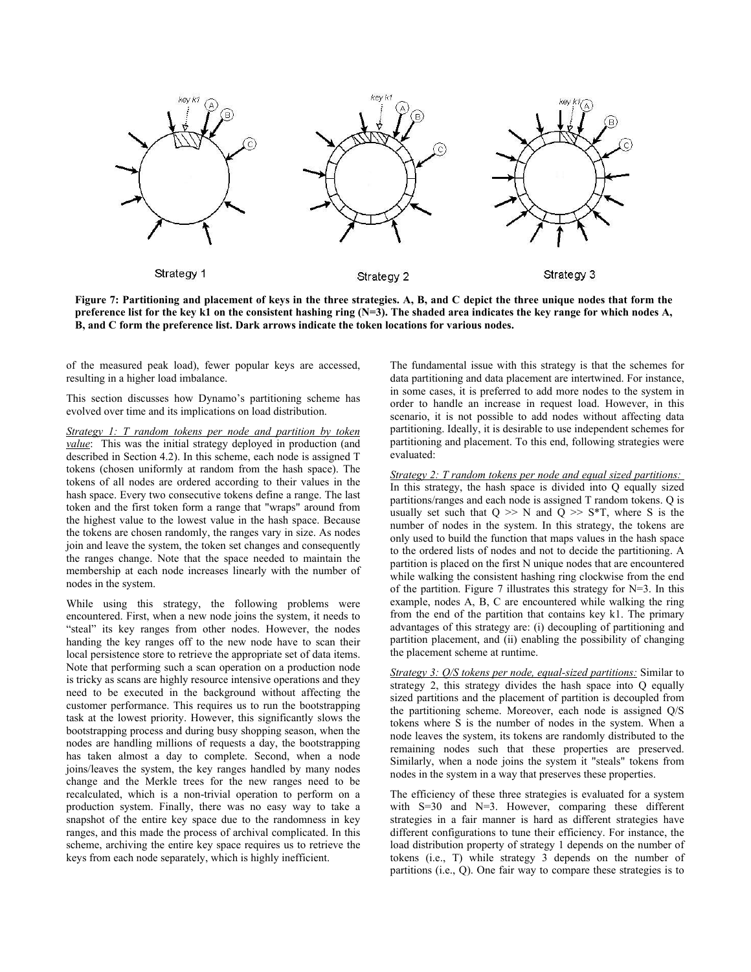

**Figure 7: Partitioning and placement of keys in the three strategies. A, B, and C depict the three unique nodes that form the preference list for the key k1 on the consistent hashing ring (N=3). The shaded area indicates the key range for which nodes A, B, and C form the preference list. Dark arrows indicate the token locations for various nodes.** 

of the measured peak load), fewer popular keys are accessed, resulting in a higher load imbalance.

This section discusses how Dynamo's partitioning scheme has evolved over time and its implications on load distribution.

*Strategy 1: T random tokens per node and partition by token value*: This was the initial strategy deployed in production (and described in Section 4.2). In this scheme, each node is assigned T tokens (chosen uniformly at random from the hash space). The tokens of all nodes are ordered according to their values in the hash space. Every two consecutive tokens define a range. The last token and the first token form a range that "wraps" around from the highest value to the lowest value in the hash space. Because the tokens are chosen randomly, the ranges vary in size. As nodes join and leave the system, the token set changes and consequently the ranges change. Note that the space needed to maintain the membership at each node increases linearly with the number of nodes in the system.

While using this strategy, the following problems were encountered. First, when a new node joins the system, it needs to "steal" its key ranges from other nodes. However, the nodes handing the key ranges off to the new node have to scan their local persistence store to retrieve the appropriate set of data items. Note that performing such a scan operation on a production node is tricky as scans are highly resource intensive operations and they need to be executed in the background without affecting the customer performance. This requires us to run the bootstrapping task at the lowest priority. However, this significantly slows the bootstrapping process and during busy shopping season, when the nodes are handling millions of requests a day, the bootstrapping has taken almost a day to complete. Second, when a node joins/leaves the system, the key ranges handled by many nodes change and the Merkle trees for the new ranges need to be recalculated, which is a non-trivial operation to perform on a production system. Finally, there was no easy way to take a snapshot of the entire key space due to the randomness in key ranges, and this made the process of archival complicated. In this scheme, archiving the entire key space requires us to retrieve the keys from each node separately, which is highly inefficient.

The fundamental issue with this strategy is that the schemes for data partitioning and data placement are intertwined. For instance, in some cases, it is preferred to add more nodes to the system in order to handle an increase in request load. However, in this scenario, it is not possible to add nodes without affecting data partitioning. Ideally, it is desirable to use independent schemes for partitioning and placement. To this end, following strategies were evaluated:

*Strategy 2: T random tokens per node and equal sized partitions:*  In this strategy, the hash space is divided into Q equally sized partitions/ranges and each node is assigned T random tokens. Q is usually set such that  $Q \gg N$  and  $\tilde{Q} \gg S^*T$ , where S is the number of nodes in the system. In this strategy, the tokens are only used to build the function that maps values in the hash space to the ordered lists of nodes and not to decide the partitioning. A partition is placed on the first N unique nodes that are encountered while walking the consistent hashing ring clockwise from the end of the partition. Figure 7 illustrates this strategy for N=3. In this example, nodes A, B, C are encountered while walking the ring from the end of the partition that contains key k1. The primary advantages of this strategy are: (i) decoupling of partitioning and partition placement, and (ii) enabling the possibility of changing the placement scheme at runtime.

*Strategy 3: Q/S tokens per node, equal-sized partitions:* Similar to strategy 2, this strategy divides the hash space into Q equally sized partitions and the placement of partition is decoupled from the partitioning scheme. Moreover, each node is assigned Q/S tokens where S is the number of nodes in the system. When a node leaves the system, its tokens are randomly distributed to the remaining nodes such that these properties are preserved. Similarly, when a node joins the system it "steals" tokens from nodes in the system in a way that preserves these properties.

The efficiency of these three strategies is evaluated for a system with S=30 and N=3. However, comparing these different strategies in a fair manner is hard as different strategies have different configurations to tune their efficiency. For instance, the load distribution property of strategy 1 depends on the number of tokens (i.e., T) while strategy 3 depends on the number of partitions (i.e., Q). One fair way to compare these strategies is to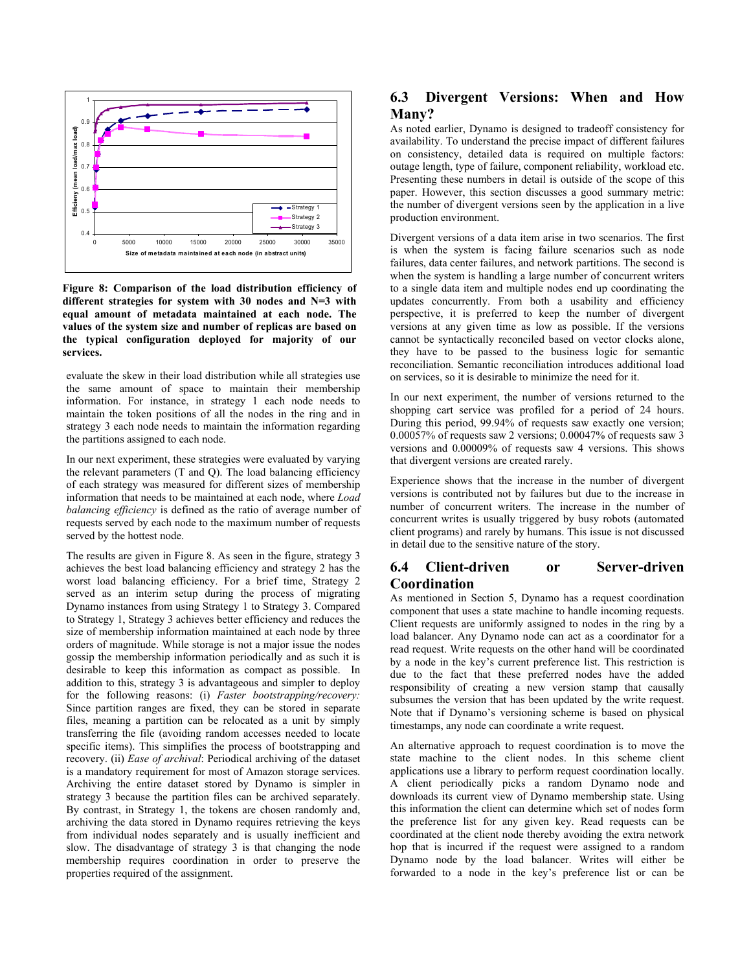

**Figure 8: Comparison of the load distribution efficiency of different strategies for system with 30 nodes and N=3 with equal amount of metadata maintained at each node. The values of the system size and number of replicas are based on the typical configuration deployed for majority of our services.** 

evaluate the skew in their load distribution while all strategies use the same amount of space to maintain their membership information. For instance, in strategy 1 each node needs to maintain the token positions of all the nodes in the ring and in strategy 3 each node needs to maintain the information regarding the partitions assigned to each node.

In our next experiment, these strategies were evaluated by varying the relevant parameters (T and Q). The load balancing efficiency of each strategy was measured for different sizes of membership information that needs to be maintained at each node, where *Load balancing efficiency* is defined as the ratio of average number of requests served by each node to the maximum number of requests served by the hottest node.

The results are given in Figure 8. As seen in the figure, strategy 3 achieves the best load balancing efficiency and strategy 2 has the worst load balancing efficiency. For a brief time, Strategy 2 served as an interim setup during the process of migrating Dynamo instances from using Strategy 1 to Strategy 3. Compared to Strategy 1, Strategy 3 achieves better efficiency and reduces the size of membership information maintained at each node by three orders of magnitude. While storage is not a major issue the nodes gossip the membership information periodically and as such it is desirable to keep this information as compact as possible. In addition to this, strategy 3 is advantageous and simpler to deploy for the following reasons: (i) *Faster bootstrapping/recovery:* Since partition ranges are fixed, they can be stored in separate files, meaning a partition can be relocated as a unit by simply transferring the file (avoiding random accesses needed to locate specific items). This simplifies the process of bootstrapping and recovery. (ii) *Ease of archival*: Periodical archiving of the dataset is a mandatory requirement for most of Amazon storage services. Archiving the entire dataset stored by Dynamo is simpler in strategy 3 because the partition files can be archived separately. By contrast, in Strategy 1, the tokens are chosen randomly and, archiving the data stored in Dynamo requires retrieving the keys from individual nodes separately and is usually inefficient and slow. The disadvantage of strategy 3 is that changing the node membership requires coordination in order to preserve the properties required of the assignment.

# **6.3 Divergent Versions: When and How Many?**

As noted earlier, Dynamo is designed to tradeoff consistency for availability. To understand the precise impact of different failures on consistency, detailed data is required on multiple factors: outage length, type of failure, component reliability, workload etc. Presenting these numbers in detail is outside of the scope of this paper. However, this section discusses a good summary metric: the number of divergent versions seen by the application in a live production environment.

Divergent versions of a data item arise in two scenarios. The first is when the system is facing failure scenarios such as node failures, data center failures, and network partitions. The second is when the system is handling a large number of concurrent writers to a single data item and multiple nodes end up coordinating the updates concurrently. From both a usability and efficiency perspective, it is preferred to keep the number of divergent versions at any given time as low as possible. If the versions cannot be syntactically reconciled based on vector clocks alone, they have to be passed to the business logic for semantic reconciliation. Semantic reconciliation introduces additional load on services, so it is desirable to minimize the need for it.

In our next experiment, the number of versions returned to the shopping cart service was profiled for a period of 24 hours. During this period, 99.94% of requests saw exactly one version; 0.00057% of requests saw 2 versions; 0.00047% of requests saw 3 versions and 0.00009% of requests saw 4 versions. This shows that divergent versions are created rarely.

Experience shows that the increase in the number of divergent versions is contributed not by failures but due to the increase in number of concurrent writers. The increase in the number of concurrent writes is usually triggered by busy robots (automated client programs) and rarely by humans. This issue is not discussed in detail due to the sensitive nature of the story.

# **6.4 Client-driven or Server-driven Coordination**

As mentioned in Section 5, Dynamo has a request coordination component that uses a state machine to handle incoming requests. Client requests are uniformly assigned to nodes in the ring by a load balancer. Any Dynamo node can act as a coordinator for a read request. Write requests on the other hand will be coordinated by a node in the key's current preference list. This restriction is due to the fact that these preferred nodes have the added responsibility of creating a new version stamp that causally subsumes the version that has been updated by the write request. Note that if Dynamo's versioning scheme is based on physical timestamps, any node can coordinate a write request.

An alternative approach to request coordination is to move the state machine to the client nodes. In this scheme client applications use a library to perform request coordination locally. A client periodically picks a random Dynamo node and downloads its current view of Dynamo membership state. Using this information the client can determine which set of nodes form the preference list for any given key. Read requests can be coordinated at the client node thereby avoiding the extra network hop that is incurred if the request were assigned to a random Dynamo node by the load balancer. Writes will either be forwarded to a node in the key's preference list or can be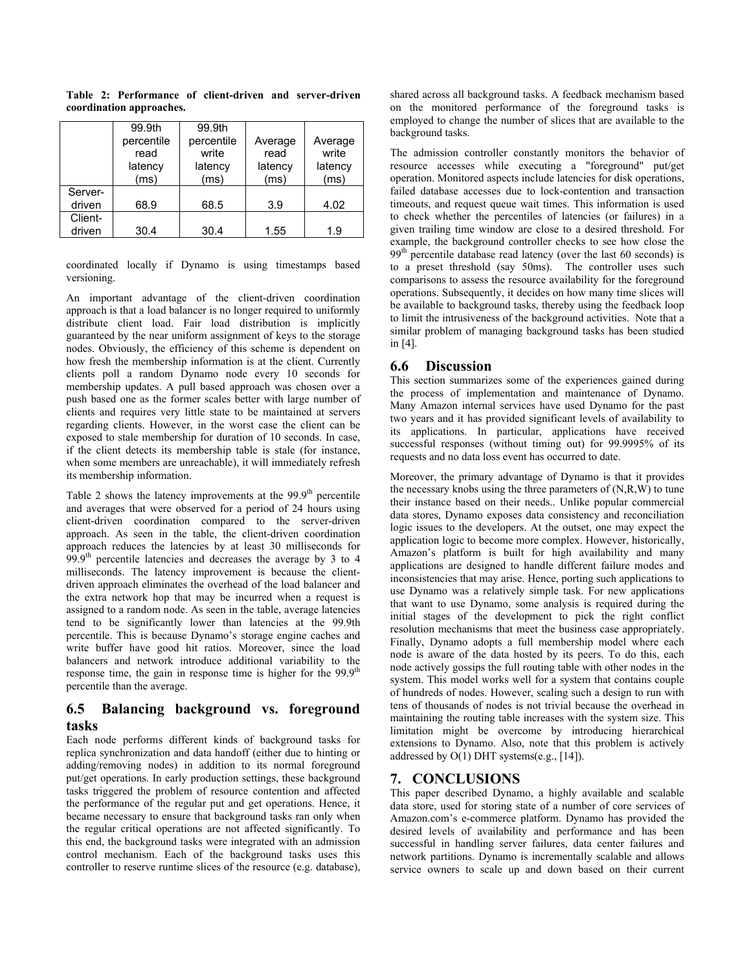|         | 99.9th<br>percentile | 99.9th<br>percentile | Average         | Average         |
|---------|----------------------|----------------------|-----------------|-----------------|
|         | read                 | write                | read            | write           |
|         | latency<br>(ms)      | latency<br>(ms)      | latency<br>(ms) | latency<br>(ms) |
| Server- |                      |                      |                 |                 |
| driven  | 68.9                 | 68.5                 | 3.9             | 4.02            |
| Client- |                      |                      |                 |                 |
| driven  | 30.4                 | 30.4                 | 1.55            | 1.9             |

**Table 2: Performance of client-driven and server-driven coordination approaches.** 

coordinated locally if Dynamo is using timestamps based versioning.

An important advantage of the client-driven coordination approach is that a load balancer is no longer required to uniformly distribute client load. Fair load distribution is implicitly guaranteed by the near uniform assignment of keys to the storage nodes. Obviously, the efficiency of this scheme is dependent on how fresh the membership information is at the client. Currently clients poll a random Dynamo node every 10 seconds for membership updates. A pull based approach was chosen over a push based one as the former scales better with large number of clients and requires very little state to be maintained at servers regarding clients. However, in the worst case the client can be exposed to stale membership for duration of 10 seconds. In case, if the client detects its membership table is stale (for instance, when some members are unreachable), it will immediately refresh its membership information.

Table 2 shows the latency improvements at the  $99.9<sup>th</sup>$  percentile and averages that were observed for a period of 24 hours using client-driven coordination compared to the server-driven approach. As seen in the table, the client-driven coordination approach reduces the latencies by at least 30 milliseconds for  $99.9<sup>th</sup>$  percentile latencies and decreases the average by 3 to 4 milliseconds. The latency improvement is because the clientdriven approach eliminates the overhead of the load balancer and the extra network hop that may be incurred when a request is assigned to a random node. As seen in the table, average latencies tend to be significantly lower than latencies at the 99.9th percentile. This is because Dynamo's storage engine caches and write buffer have good hit ratios. Moreover, since the load balancers and network introduce additional variability to the response time, the gain in response time is higher for the 99.9<sup>th</sup> percentile than the average.

# **6.5 Balancing background vs. foreground tasks**

Each node performs different kinds of background tasks for replica synchronization and data handoff (either due to hinting or adding/removing nodes) in addition to its normal foreground put/get operations. In early production settings, these background tasks triggered the problem of resource contention and affected the performance of the regular put and get operations. Hence, it became necessary to ensure that background tasks ran only when the regular critical operations are not affected significantly. To this end, the background tasks were integrated with an admission control mechanism. Each of the background tasks uses this controller to reserve runtime slices of the resource (e.g. database), shared across all background tasks. A feedback mechanism based on the monitored performance of the foreground tasks is employed to change the number of slices that are available to the background tasks.

The admission controller constantly monitors the behavior of resource accesses while executing a "foreground" put/get operation. Monitored aspects include latencies for disk operations, failed database accesses due to lock-contention and transaction timeouts, and request queue wait times. This information is used to check whether the percentiles of latencies (or failures) in a given trailing time window are close to a desired threshold. For example, the background controller checks to see how close the  $99<sup>th</sup>$  percentile database read latency (over the last 60 seconds) is to a preset threshold (say 50ms). The controller uses such comparisons to assess the resource availability for the foreground operations. Subsequently, it decides on how many time slices will be available to background tasks, thereby using the feedback loop to limit the intrusiveness of the background activities. Note that a similar problem of managing background tasks has been studied in [4].

## **6.6 Discussion**

This section summarizes some of the experiences gained during the process of implementation and maintenance of Dynamo. Many Amazon internal services have used Dynamo for the past two years and it has provided significant levels of availability to its applications. In particular, applications have received successful responses (without timing out) for 99.9995% of its requests and no data loss event has occurred to date.

Moreover, the primary advantage of Dynamo is that it provides the necessary knobs using the three parameters of (N,R,W) to tune their instance based on their needs.. Unlike popular commercial data stores, Dynamo exposes data consistency and reconciliation logic issues to the developers. At the outset, one may expect the application logic to become more complex. However, historically, Amazon's platform is built for high availability and many applications are designed to handle different failure modes and inconsistencies that may arise. Hence, porting such applications to use Dynamo was a relatively simple task. For new applications that want to use Dynamo, some analysis is required during the initial stages of the development to pick the right conflict resolution mechanisms that meet the business case appropriately. Finally, Dynamo adopts a full membership model where each node is aware of the data hosted by its peers. To do this, each node actively gossips the full routing table with other nodes in the system. This model works well for a system that contains couple of hundreds of nodes. However, scaling such a design to run with tens of thousands of nodes is not trivial because the overhead in maintaining the routing table increases with the system size. This limitation might be overcome by introducing hierarchical extensions to Dynamo. Also, note that this problem is actively addressed by O(1) DHT systems(e.g., [14]).

# **7. CONCLUSIONS**

This paper described Dynamo, a highly available and scalable data store, used for storing state of a number of core services of Amazon.com's e-commerce platform. Dynamo has provided the desired levels of availability and performance and has been successful in handling server failures, data center failures and network partitions. Dynamo is incrementally scalable and allows service owners to scale up and down based on their current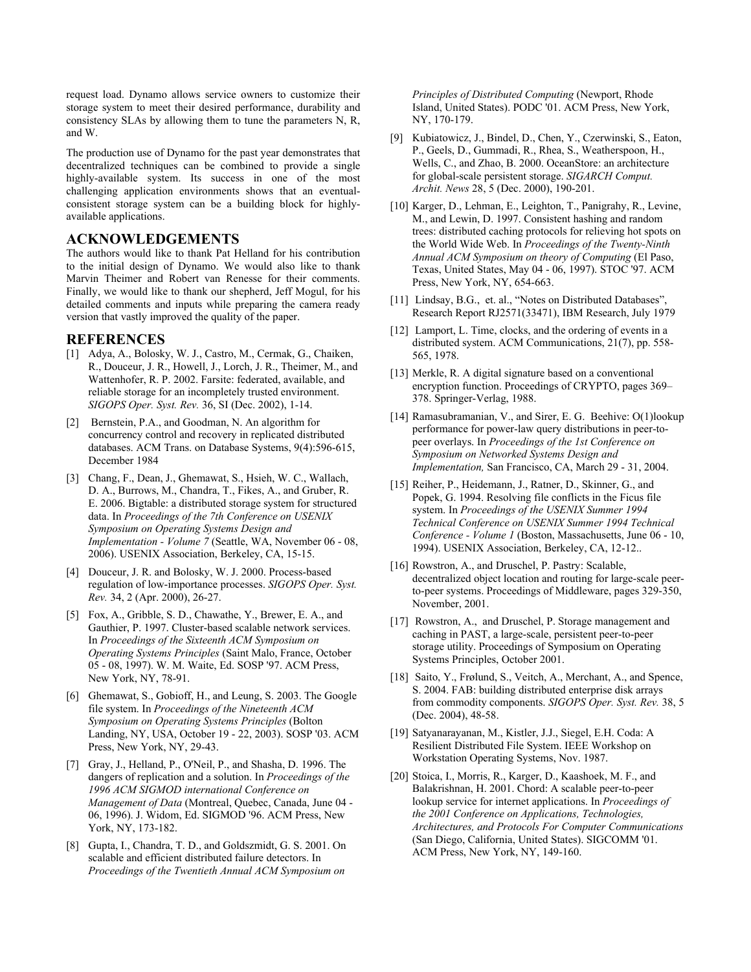request load. Dynamo allows service owners to customize their storage system to meet their desired performance, durability and consistency SLAs by allowing them to tune the parameters N, R, and W.

The production use of Dynamo for the past year demonstrates that decentralized techniques can be combined to provide a single highly-available system. Its success in one of the most challenging application environments shows that an eventualconsistent storage system can be a building block for highlyavailable applications.

## **ACKNOWLEDGEMENTS**

The authors would like to thank Pat Helland for his contribution to the initial design of Dynamo. We would also like to thank Marvin Theimer and Robert van Renesse for their comments. Finally, we would like to thank our shepherd, Jeff Mogul, for his detailed comments and inputs while preparing the camera ready version that vastly improved the quality of the paper.

#### **REFERENCES**

- [1] Adya, A., Bolosky, W. J., Castro, M., Cermak, G., Chaiken, R., Douceur, J. R., Howell, J., Lorch, J. R., Theimer, M., and Wattenhofer, R. P. 2002. Farsite: federated, available, and reliable storage for an incompletely trusted environment. *SIGOPS Oper. Syst. Rev.* 36, SI (Dec. 2002), 1-14.
- [2] Bernstein, P.A., and Goodman, N. An algorithm for concurrency control and recovery in replicated distributed databases. ACM Trans. on Database Systems, 9(4):596-615, December 1984
- [3] Chang, F., Dean, J., Ghemawat, S., Hsieh, W. C., Wallach, D. A., Burrows, M., Chandra, T., Fikes, A., and Gruber, R. E. 2006. Bigtable: a distributed storage system for structured data. In *Proceedings of the 7th Conference on USENIX Symposium on Operating Systems Design and Implementation - Volume 7* (Seattle, WA, November 06 - 08, 2006). USENIX Association, Berkeley, CA, 15-15.
- [4] Douceur, J. R. and Bolosky, W. J. 2000. Process-based regulation of low-importance processes. *SIGOPS Oper. Syst. Rev.* 34, 2 (Apr. 2000), 26-27.
- [5] Fox, A., Gribble, S. D., Chawathe, Y., Brewer, E. A., and Gauthier, P. 1997. Cluster-based scalable network services. In *Proceedings of the Sixteenth ACM Symposium on Operating Systems Principles* (Saint Malo, France, October 05 - 08, 1997). W. M. Waite, Ed. SOSP '97. ACM Press, New York, NY, 78-91.
- [6] Ghemawat, S., Gobioff, H., and Leung, S. 2003. The Google file system. In *Proceedings of the Nineteenth ACM Symposium on Operating Systems Principles* (Bolton Landing, NY, USA, October 19 - 22, 2003). SOSP '03. ACM Press, New York, NY, 29-43.
- [7] Gray, J., Helland, P., O'Neil, P., and Shasha, D. 1996. The dangers of replication and a solution. In *Proceedings of the 1996 ACM SIGMOD international Conference on Management of Data* (Montreal, Quebec, Canada, June 04 - 06, 1996). J. Widom, Ed. SIGMOD '96. ACM Press, New York, NY, 173-182.
- [8] Gupta, I., Chandra, T. D., and Goldszmidt, G. S. 2001. On scalable and efficient distributed failure detectors. In *Proceedings of the Twentieth Annual ACM Symposium on*

*Principles of Distributed Computing* (Newport, Rhode Island, United States). PODC '01. ACM Press, New York, NY, 170-179.

- [9] Kubiatowicz, J., Bindel, D., Chen, Y., Czerwinski, S., Eaton, P., Geels, D., Gummadi, R., Rhea, S., Weatherspoon, H., Wells, C., and Zhao, B. 2000. OceanStore: an architecture for global-scale persistent storage. *SIGARCH Comput. Archit. News* 28, 5 (Dec. 2000), 190-201.
- [10] Karger, D., Lehman, E., Leighton, T., Panigrahy, R., Levine, M., and Lewin, D. 1997. Consistent hashing and random trees: distributed caching protocols for relieving hot spots on the World Wide Web. In *Proceedings of the Twenty-Ninth Annual ACM Symposium on theory of Computing* (El Paso, Texas, United States, May 04 - 06, 1997). STOC '97. ACM Press, New York, NY, 654-663.
- [11] Lindsay, B.G., et. al., "Notes on Distributed Databases", Research Report RJ2571(33471), IBM Research, July 1979
- [12] Lamport, L. Time, clocks, and the ordering of events in a distributed system. ACM Communications, 21(7), pp. 558- 565, 1978.
- [13] Merkle, R. A digital signature based on a conventional encryption function. Proceedings of CRYPTO, pages 369– 378. Springer-Verlag, 1988.
- [14] Ramasubramanian, V., and Sirer, E. G. Beehive: O(1)lookup performance for power-law query distributions in peer-topeer overlays. In *Proceedings of the 1st Conference on Symposium on Networked Systems Design and Implementation,* San Francisco, CA, March 29 - 31, 2004.
- [15] Reiher, P., Heidemann, J., Ratner, D., Skinner, G., and Popek, G. 1994. Resolving file conflicts in the Ficus file system. In *Proceedings of the USENIX Summer 1994 Technical Conference on USENIX Summer 1994 Technical Conference - Volume 1* (Boston, Massachusetts, June 06 - 10, 1994). USENIX Association, Berkeley, CA, 12-12..
- [16] Rowstron, A., and Druschel, P. Pastry: Scalable, decentralized object location and routing for large-scale peerto-peer systems. Proceedings of Middleware, pages 329-350, November, 2001.
- [17] Rowstron, A., and Druschel, P. Storage management and caching in PAST, a large-scale, persistent peer-to-peer storage utility. Proceedings of Symposium on Operating Systems Principles, October 2001.
- [18] Saito, Y., Frølund, S., Veitch, A., Merchant, A., and Spence, S. 2004. FAB: building distributed enterprise disk arrays from commodity components. *SIGOPS Oper. Syst. Rev.* 38, 5 (Dec. 2004), 48-58.
- [19] Satyanarayanan, M., Kistler, J.J., Siegel, E.H. Coda: A Resilient Distributed File System. IEEE Workshop on Workstation Operating Systems, Nov. 1987.
- [20] Stoica, I., Morris, R., Karger, D., Kaashoek, M. F., and Balakrishnan, H. 2001. Chord: A scalable peer-to-peer lookup service for internet applications. In *Proceedings of the 2001 Conference on Applications, Technologies, Architectures, and Protocols For Computer Communications* (San Diego, California, United States). SIGCOMM '01. ACM Press, New York, NY, 149-160.